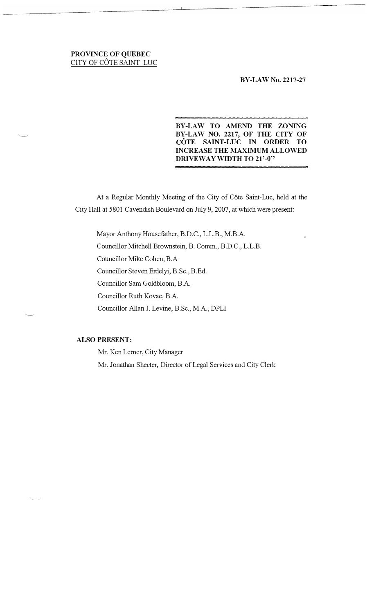# **PROVINCE OF QUEBEC**  CITY **OF** COTE SAINT LUC

#### **BY-LAW No. 2217-27**

# **BY-LAW TO AMEND THE ZONING BY-LAW NO. 2217, OF THE CITY OF COTE SAINT-LUC IN ORDER TO INCREASE THE MAXIMUM ALLOWED DRIVEWAY WIDTH TO 21'-0"**

At a Regular Monthly Meeting of the City of Cote Saint-Luc, held at the City Hall at 5801 Cavendish Boulevard on July 9, 2007, at which were present:

Mayor Anthony Housefather, B.D.C., L.L.B., M.B.A. Councillor Mitchell Brownstein, B. Comm., B.D.C., L.L.B. Councillor Mike Cohen, B.A Councillor Steven Erdelyi, B.Sc., B.Ed. Councillor Sam Goldbloorn, B.A. Councillor Ruth Kovac, B.A. Councillor Allan J. Levine, B.Sc., M.A., DPLI

# **ALSO PRESENT:**

Mr. Ken Lerner, City Manager Mr. Jonathan Sheeter, Director of Legal Services and City Clerk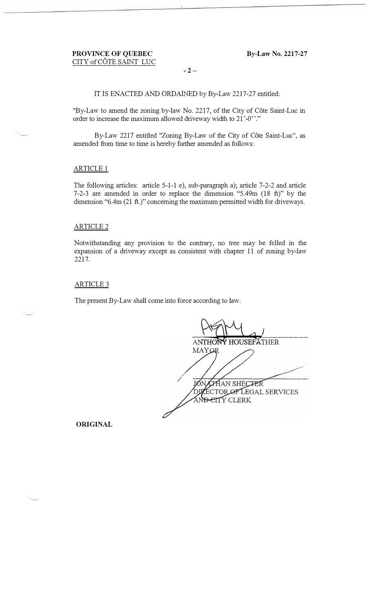**- 2-**

**IT IS ENACTED AND ORDAINED by By-Law 2217-27 entitled:** 

**"By-Law to amend the zoning by-law No. 2217, of the City of Cote Saint-Luc in order to increase the maximum allowed driveway width to 21 '-0' '."** 

**By-Law 2217 entitled "Zoning By-Law of the City of Cote Saint-Luc", as amended from time to time is hereby further amended as follows:** 

### **ARTICLE 1**

**The following articles: article 5-1-1 e), sub-paragraph a); article 7-2-2 and article 7-2-3 are amended in order to replace the dimension "5.49m (18 ft)" by the dimension "6.4m (21 ft.)" concerning the maximum permitted width for driveways.** 

#### **ARTICLE 2**

**Notwithstanding any provision to the contrary, no tree may be felled in the expansion of a driveway except as consistent with chapter 11 of zoning by-law 2217.** 

#### **ARTICLE 3**

**The present By-Law shall come into force according to law.** 

**ANTHONY HOUSEFATHER MAYOR** IØN. **ZHAN SHECTER DUECTOR OF LEGAL SERVICES** AND ETTY CLERK

**ORIGINAL**